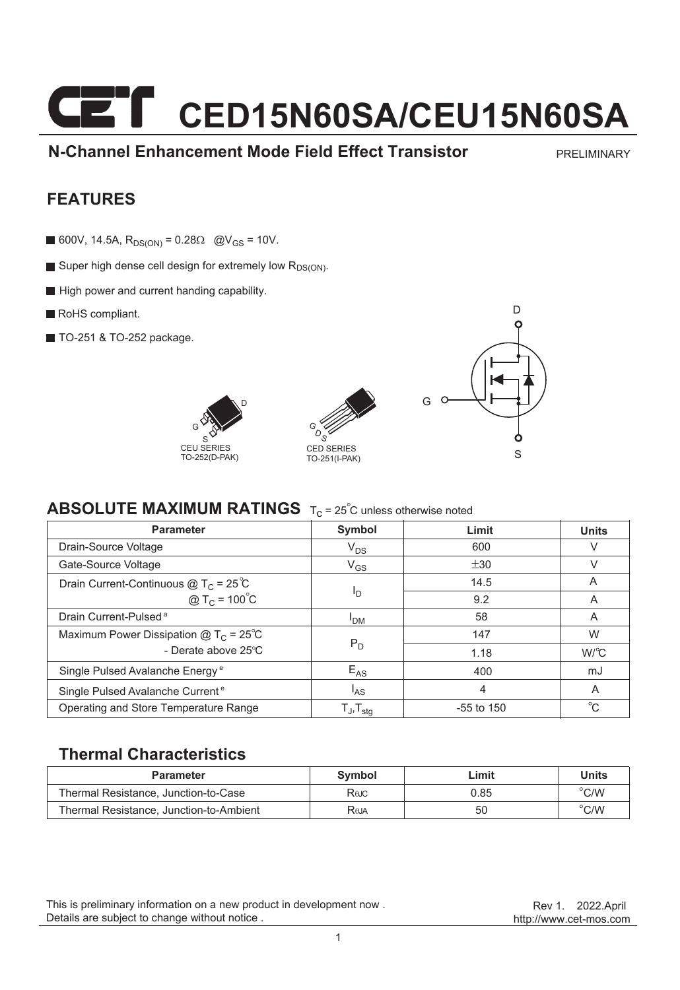# **CET** CED15N60SA/CEU15N60SA

**N-Channel Enhancement Mode Field Effect Transistor**

PRELIMINARY

#### **FEATURES**

- 600V, 14.5A,  $R_{DS(ON)} = 0.28\Omega$  @V<sub>GS</sub> = 10V.
- Super high dense cell design for extremely low R<sub>DS(ON)</sub>.
- High power and current handing capability.
- RoHS compliant.
- **TO-251 & TO-252 package.**







#### **ABSOLUTE MAXIMUM RATINGS** T<sub>C</sub> = 25<sup>°</sup>C unless otherwise noted

| <b>Parameter</b>                              | Symbol                     | Limit        | <b>Units</b> |
|-----------------------------------------------|----------------------------|--------------|--------------|
| Drain-Source Voltage                          | $V_{DS}$                   | 600          | V            |
| Gate-Source Voltage                           | $V_{GS}$                   | ±30          | V            |
| Drain Current-Continuous $@T_C = 25^{\circ}C$ | Ιŋ                         | 14.5         | A            |
| @ T <sub>C</sub> = $100^{\circ}$ C            |                            | 9.2          | A            |
| Drain Current-Pulsed <sup>a</sup>             | <b>PDM</b>                 | 58           | A            |
| Maximum Power Dissipation $@TC = 25°C$        | $P_D$                      | 147          | W            |
| - Derate above 25°C                           |                            | 1.18         | $W^{\circ}C$ |
| Single Pulsed Avalanche Energy <sup>e</sup>   | $E_{AS}$                   | 400          | mJ           |
| Single Pulsed Avalanche Current <sup>e</sup>  | l <sub>AS</sub>            | 4            | A            |
| Operating and Store Temperature Range         | $T_{J}$ , $T_{\text{stq}}$ | $-55$ to 150 | °C           |

#### **Thermal Characteristics**

| <b>Parameter</b>                        | Symbol      | ∟imit | <b>Units</b>  |
|-----------------------------------------|-------------|-------|---------------|
| Thermal Resistance, Junction-to-Case    | Rejc        | 0.85  | $\degree$ C/W |
| Thermal Resistance, Junction-to-Ambient | <b>Reja</b> | 50    | $\degree$ C/W |

This is preliminary information on a new product in development now . Details are subject to change without notice .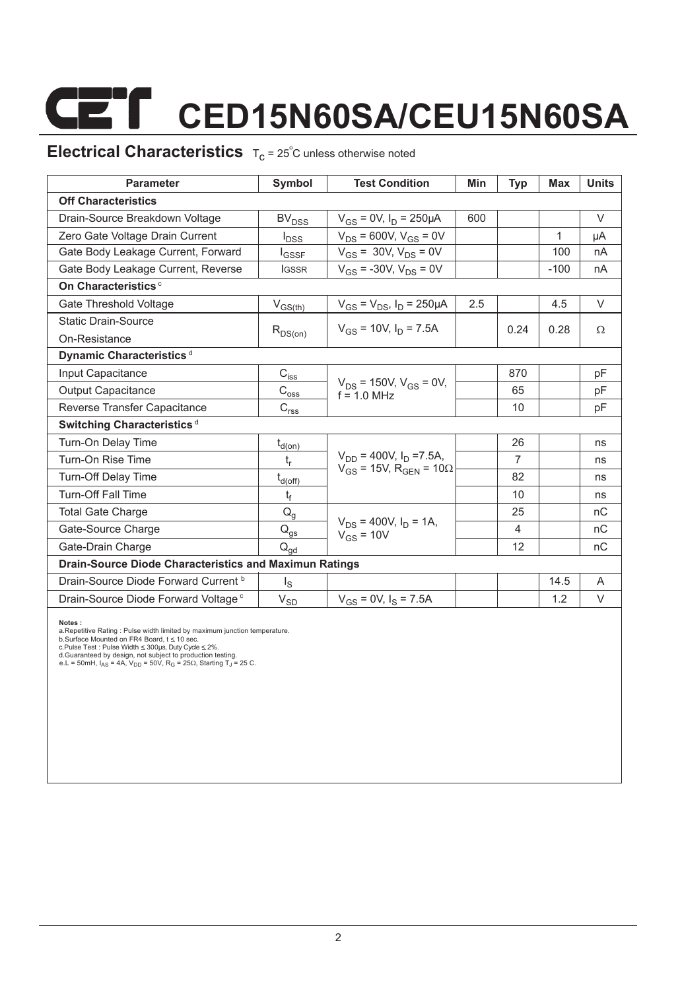# **CET** CED15N60SA/CEU15N60SA

### **Electrical Characteristics**  $T_c = 25^\circ$ C unless otherwise noted

| <b>Parameter</b>                                       | Symbol                                         | <b>Test Condition</b>                           | Min | Typ            | Max    | <b>Units</b> |  |  |  |
|--------------------------------------------------------|------------------------------------------------|-------------------------------------------------|-----|----------------|--------|--------------|--|--|--|
| <b>Off Characteristics</b>                             |                                                |                                                 |     |                |        |              |  |  |  |
| Drain-Source Breakdown Voltage                         | <b>BV<sub>DSS</sub></b>                        | $V_{GS} = 0V$ , $I_D = 250 \mu A$               | 600 |                |        | $\vee$       |  |  |  |
| Zero Gate Voltage Drain Current                        | $I_{DSS}$                                      | $V_{DS}$ = 600V, $V_{GS}$ = 0V                  |     |                | 1      | μA           |  |  |  |
| Gate Body Leakage Current, Forward                     | $I_{GSSF}$                                     | $V_{GS}$ = 30V, $V_{DS}$ = 0V                   |     |                | 100    | nA           |  |  |  |
| Gate Body Leakage Current, Reverse                     | <b>IGSSR</b>                                   | $V_{GS}$ = -30V, $V_{DS}$ = 0V                  |     |                | $-100$ | nA           |  |  |  |
| On Characteristics <sup>c</sup>                        |                                                |                                                 |     |                |        |              |  |  |  |
| Gate Threshold Voltage                                 | $V_{GS(th)}$                                   | $V_{GS} = V_{DS}$ , $I_D = 250 \mu A$           | 2.5 |                | 4.5    | $\vee$       |  |  |  |
| <b>Static Drain-Source</b>                             |                                                | $V_{gs}$ = 10V, $I_D$ = 7.5A                    |     | 0.24           | 0.28   | $\Omega$     |  |  |  |
| On-Resistance                                          | $R_{DS(on)}$                                   |                                                 |     |                |        |              |  |  |  |
| Dynamic Characteristics <sup>d</sup>                   |                                                |                                                 |     |                |        |              |  |  |  |
| Input Capacitance                                      | $C_{iss}$                                      |                                                 |     | 870            |        | pF           |  |  |  |
| Output Capacitance                                     | $\mathrm{C}_{\text{o}\underline{\mathsf{ss}}}$ | $V_{DS}$ = 150V, $V_{GS}$ = 0V,<br>$f = 10$ MHz |     | 65             |        | pF           |  |  |  |
| Reverse Transfer Capacitance                           | C <sub>rss</sub>                               |                                                 |     | 10             |        | pF           |  |  |  |
| Switching Characteristics <sup>d</sup>                 |                                                |                                                 |     |                |        |              |  |  |  |
| Turn-On Delay Time                                     | $t_{\underline{d}(on)}$                        |                                                 |     | 26             |        | ns           |  |  |  |
| Turn-On Rise Time                                      | $t_{r}$                                        | $V_{DD}$ = 400V, $I_D$ =7.5A,                   |     | $\overline{7}$ |        | ns           |  |  |  |
| <b>Turn-Off Delay Time</b>                             | $t_{d(\text{off})}$                            | $V_{GS}$ = 15V, R <sub>GEN</sub> = 10 $\Omega$  |     | 82             |        | ns           |  |  |  |
| <b>Turn-Off Fall Time</b>                              | t <sub>f</sub>                                 |                                                 |     | 10             |        | ns           |  |  |  |
| <b>Total Gate Charge</b>                               | $Q_g$                                          |                                                 |     | 25             |        | nC           |  |  |  |
| Gate-Source Charge                                     | $\mathsf{Q}_{\underline{\mathsf{gs}}}$         | $V_{DS}$ = 400V, $I_D$ = 1A,<br>$V_{GS}$ = 10V  |     | 4              |        | nC           |  |  |  |
| Gate-Drain Charge                                      | $\mathsf{Q}_{\mathsf{qd}}$                     |                                                 |     | 12             |        | nC           |  |  |  |
| Drain-Source Diode Characteristics and Maximun Ratings |                                                |                                                 |     |                |        |              |  |  |  |
| Drain-Source Diode Forward Current b                   | $I_{\rm S}$                                    |                                                 |     |                | 14.5   | A            |  |  |  |
| Drain-Source Diode Forward Voltage <sup>c</sup>        | $V_{SD}$                                       | $V_{GS}$ = 0V, $I_S$ = 7.5A                     |     |                | 1.2    | V            |  |  |  |

Notes :<br>a.Repetitive Rating : Pulse width limited by maximum junction temperature.<br>b.Surface Mounted on FR4 Board, t ≤ 10 sec.<br>c.Pulse Test : Pulse Width ≤ 300µs, Duly Cyde ≤ 2%.<br>d.Guaranteed by design, not subject to pro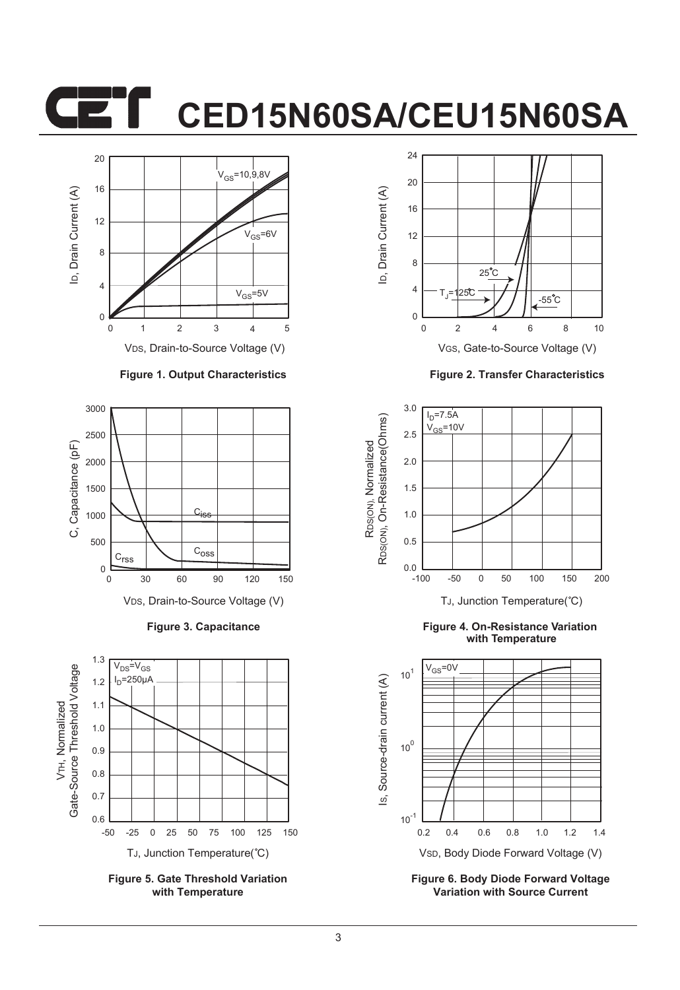### **CED15N60SA/CEU15N60SA**



#### **Figure 1. Output Characteristics**



**Figure 3. Capacitance**



**Figure 5. Gate Threshold Variation with Temperature**



**Figure 2. Transfer Characteristics**



**Figure 4. On-Resistance Variation with Temperature**



**Figure 6. Body Diode Forward Voltage Variation with Source Current**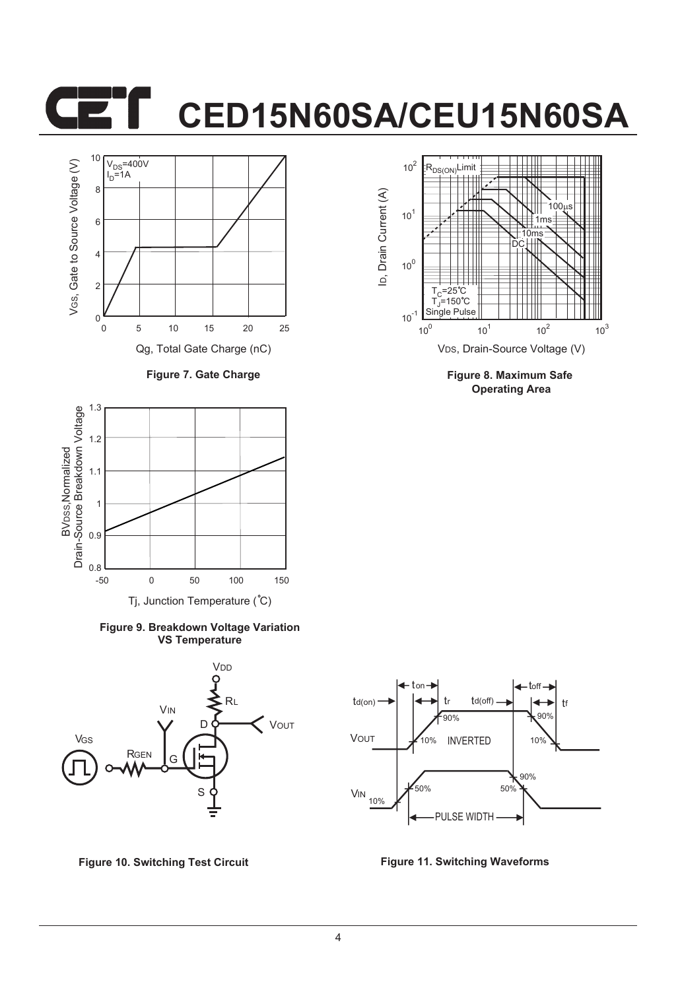## **CED15N60SA/CEU15N60SA**



**Figure 7. Gate Charge**



**Figure 9. Breakdown Voltage Variation VS Temperature**





**Figure 8. Maximum Safe Operating Area**



**Figure 10. Switching Test Circuit Figure 11. Switching Waveforms**